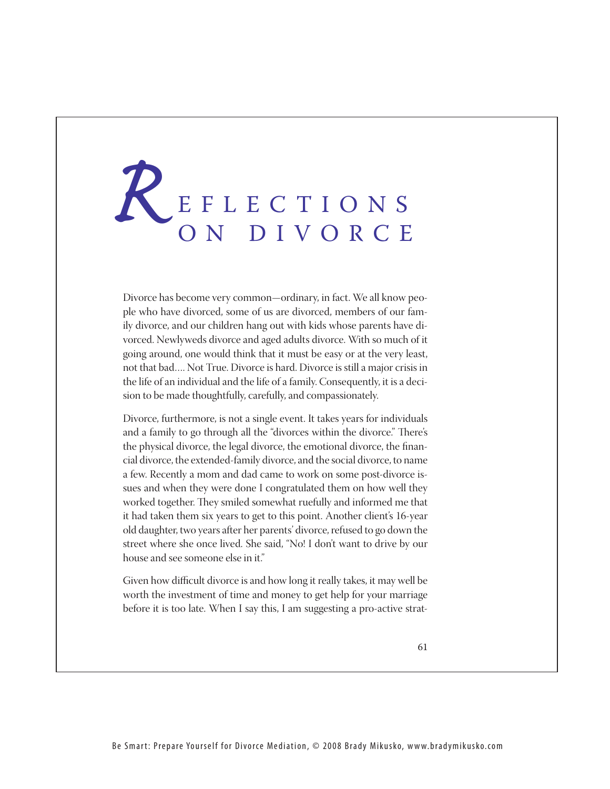## REFLECTIONS<br>ON DIVORCE ON DIVORCE

Divorce has become very common—ordinary, in fact. We all know people who have divorced, some of us are divorced, members of our family divorce, and our children hang out with kids whose parents have divorced. Newlyweds divorce and aged adults divorce. With so much of it going around, one would think that it must be easy or at the very least, not that bad…. Not True. Divorce is hard. Divorce is still a major crisis in the life of an individual and the life of a family. Consequently, it is a decision to be made thoughtfully, carefully, and compassionately.

Divorce, furthermore, is not a single event. It takes years for individuals and a family to go through all the "divorces within the divorce." There's the physical divorce, the legal divorce, the emotional divorce, the financial divorce, the extended-family divorce, and the social divorce, to name a few. Recently a mom and dad came to work on some post-divorce issues and when they were done I congratulated them on how well they worked together. They smiled somewhat ruefully and informed me that it had taken them six years to get to this point. Another client's 16-year old daughter, two years after her parents' divorce, refused to go down the street where she once lived. She said, "No! I don't want to drive by our house and see someone else in it."

Given how difficult divorce is and how long it really takes, it may well be worth the investment of time and money to get help for your marriage before it is too late. When I say this, I am suggesting a pro-active strat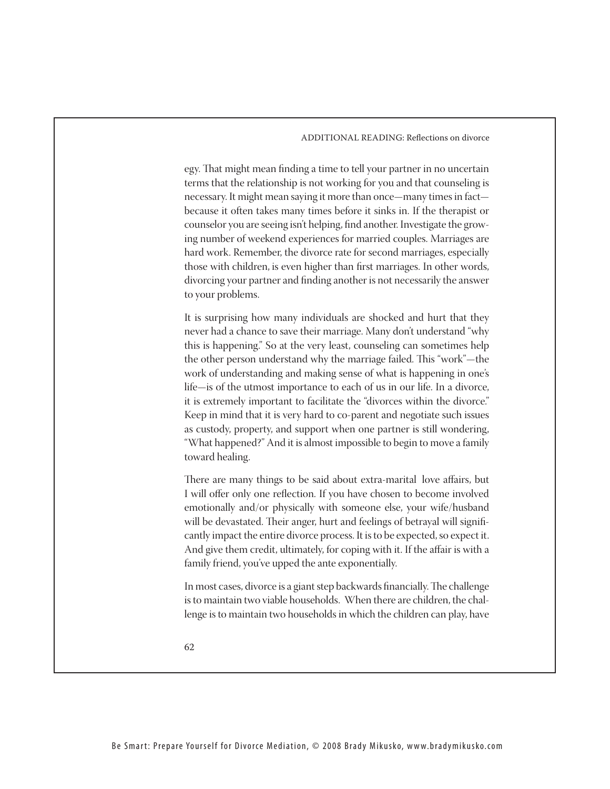ADDITIONAL READING: Reflections on divorce

egy. That might mean finding a time to tell your partner in no uncertain terms that the relationship is not working for you and that counseling is necessary. It might mean saying it more than once—many times in fact because it often takes many times before it sinks in. If the therapist or counselor you are seeing isn't helping, find another. Investigate the growing number of weekend experiences for married couples. Marriages are hard work. Remember, the divorce rate for second marriages, especially those with children, is even higher than first marriages. In other words, divorcing your partner and finding another is not necessarily the answer to your problems.

It is surprising how many individuals are shocked and hurt that they never had a chance to save their marriage. Many don't understand "why this is happening." So at the very least, counseling can sometimes help the other person understand why the marriage failed. This "work"—the work of understanding and making sense of what is happening in one's life—is of the utmost importance to each of us in our life. In a divorce, it is extremely important to facilitate the "divorces within the divorce." Keep in mind that it is very hard to co-parent and negotiate such issues as custody, property, and support when one partner is still wondering, "What happened?" And it is almost impossible to begin to move a family toward healing.

There are many things to be said about extra-marital love affairs, but I will offer only one reflection. If you have chosen to become involved emotionally and/or physically with someone else, your wife/husband will be devastated. Their anger, hurt and feelings of betrayal will significantly impact the entire divorce process. It is to be expected, so expect it. And give them credit, ultimately, for coping with it. If the affair is with a family friend, you've upped the ante exponentially.

In most cases, divorce is a giant step backwards financially. The challenge is to maintain two viable households. When there are children, the challenge is to maintain two households in which the children can play, have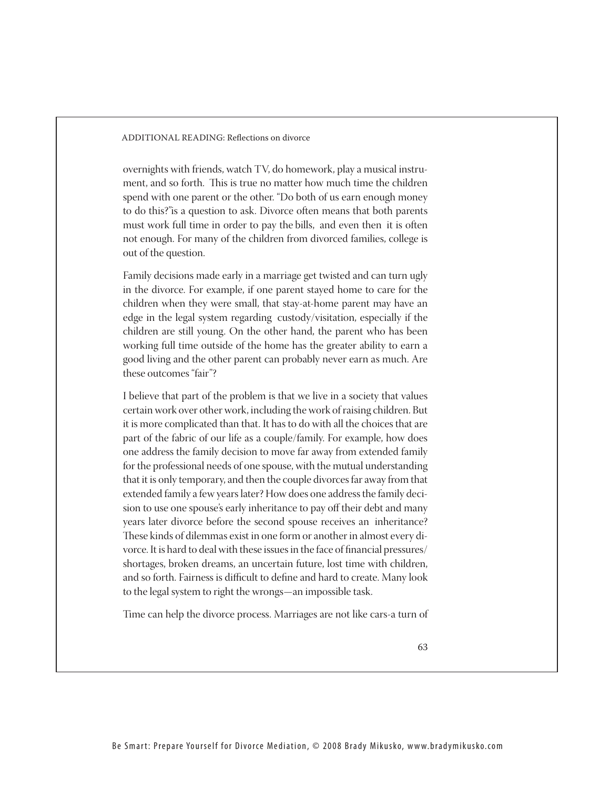ADDITIONAL READING: Reflections on divorce

overnights with friends, watch TV, do homework, play a musical instrument, and so forth. This is true no matter how much time the children spend with one parent or the other. "Do both of us earn enough money to do this?"is a question to ask. Divorce often means that both parents must work full time in order to pay the bills, and even then it is often not enough. For many of the children from divorced families, college is out of the question.

Family decisions made early in a marriage get twisted and can turn ugly in the divorce. For example, if one parent stayed home to care for the children when they were small, that stay-at-home parent may have an edge in the legal system regarding custody/visitation, especially if the children are still young. On the other hand, the parent who has been working full time outside of the home has the greater ability to earn a good living and the other parent can probably never earn as much. Are these outcomes "fair"?

I believe that part of the problem is that we live in a society that values certain work over other work, including the work of raising children. But it is more complicated than that. It has to do with all the choices that are part of the fabric of our life as a couple/family. For example, how does one address the family decision to move far away from extended family for the professional needs of one spouse, with the mutual understanding that it is only temporary, and then the couple divorces far away from that extended family a few years later? How does one address the family decision to use one spouse's early inheritance to pay off their debt and many years later divorce before the second spouse receives an inheritance? These kinds of dilemmas exist in one form or another in almost every divorce. It is hard to deal with these issues in the face of financial pressures/ shortages, broken dreams, an uncertain future, lost time with children, and so forth. Fairness is difficult to define and hard to create. Many look to the legal system to right the wrongs—an impossible task.

Time can help the divorce process. Marriages are not like cars-a turn of